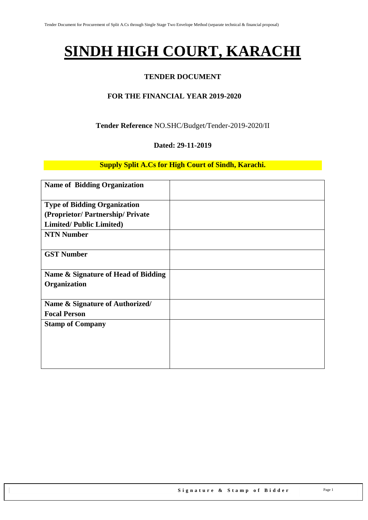# **SINDH HIGH COURT, KARACHI**

#### **TENDER DOCUMENT**

#### **FOR THE FINANCIAL YEAR 2019-2020**

#### **Tender Reference** NO.SHC/Budget/Tender-2019-2020/II

#### **Dated: 29-11-2019**

#### **Supply Split A.Cs for High Court of Sindh, Karachi.**

| <b>Name of Bidding Organization</b> |  |
|-------------------------------------|--|
| <b>Type of Bidding Organization</b> |  |
| (Proprietor/Partnership/Private     |  |
| <b>Limited/Public Limited)</b>      |  |
| <b>NTN Number</b>                   |  |
| <b>GST Number</b>                   |  |
| Name & Signature of Head of Bidding |  |
| Organization                        |  |
| Name & Signature of Authorized/     |  |
| <b>Focal Person</b>                 |  |
| <b>Stamp of Company</b>             |  |
|                                     |  |
|                                     |  |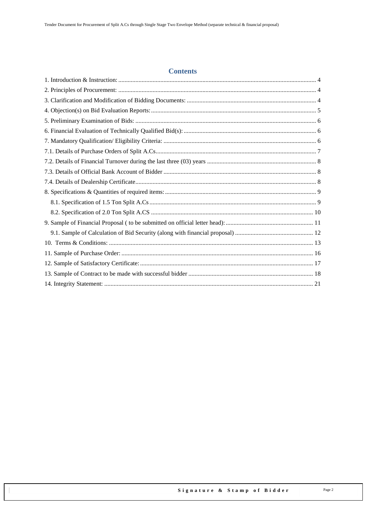#### **Contents**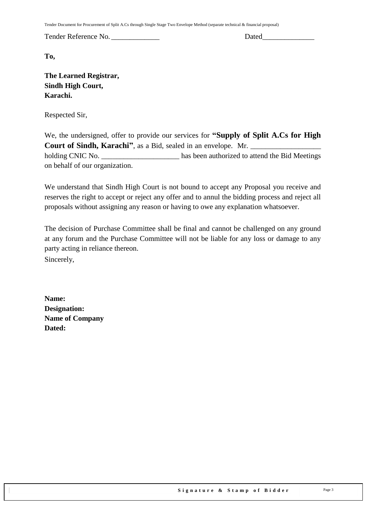Tender Document for Procurement of Split A.Cs through Single Stage Two Envelope Method (separate technical & financial proposal)

Tender Reference No. \_\_\_\_\_\_\_\_\_\_\_\_\_ Dated\_\_\_\_\_\_\_\_\_\_\_\_\_\_

**To,** 

**The Learned Registrar, Sindh High Court, Karachi.**

Respected Sir,

We, the undersigned, offer to provide our services for **"Supply of Split A.Cs for High Court of Sindh, Karachi"**, as a Bid, sealed in an envelope. Mr. holding CNIC No. \_\_\_\_\_\_\_\_\_\_\_\_\_\_\_\_\_\_\_\_\_\_\_\_ has been authorized to attend the Bid Meetings on behalf of our organization.

We understand that Sindh High Court is not bound to accept any Proposal you receive and reserves the right to accept or reject any offer and to annul the bidding process and reject all proposals without assigning any reason or having to owe any explanation whatsoever.

The decision of Purchase Committee shall be final and cannot be challenged on any ground at any forum and the Purchase Committee will not be liable for any loss or damage to any party acting in reliance thereon. Sincerely,

**Name: Designation: Name of Company Dated:**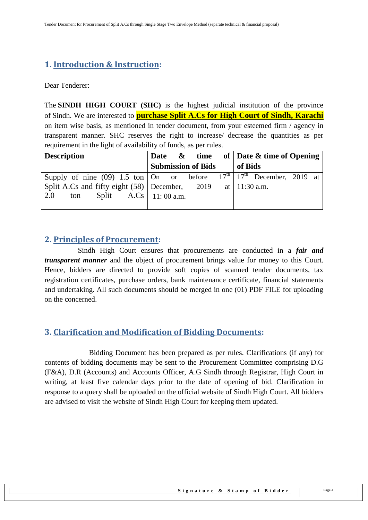## <span id="page-3-0"></span>**1. Introduction & Instruction:**

Dear Tenderer:

The **SINDH HIGH COURT (SHC)** is the highest judicial institution of the province of [Sindh.](https://en.wikipedia.org/wiki/Sindh) We are interested to **purchase Split A.Cs for High Court of Sindh, Karachi** on item wise basis, as mentioned in tender document, from your esteemed firm / agency in transparent manner. SHC reserves the right to increase/ decrease the quantities as per requirement in the light of availability of funds, as per rules.

| <b>Description</b>                                                             |  |                           |         | Date $\&$ time of Date $\&$ time of Opening |  |
|--------------------------------------------------------------------------------|--|---------------------------|---------|---------------------------------------------|--|
|                                                                                |  | <b>Submission of Bids</b> | of Bids |                                             |  |
| Supply of nine (09) 1.5 ton   On or before $17th$   $17th$ December, $2019$ at |  |                           |         |                                             |  |
| Split A.Cs and fifty eight (58) December, 2019 at   11:30 a.m.                 |  |                           |         |                                             |  |
| ton Split $A.Cs \mid 11:00 a.m.$<br>2.0                                        |  |                           |         |                                             |  |
|                                                                                |  |                           |         |                                             |  |

#### <span id="page-3-1"></span>**2. Principles of Procurement:**

 Sindh High Court ensures that procurements are conducted in a *fair and transparent manner* and the object of procurement brings value for money to this Court. Hence, bidders are directed to provide soft copies of scanned tender documents, tax registration certificates, purchase orders, bank maintenance certificate, financial statements and undertaking. All such documents should be merged in one (01) PDF FILE for uploading on the concerned.

### <span id="page-3-2"></span>**3. Clarification and Modification of Bidding Documents:**

Bidding Document has been prepared as per rules. Clarifications (if any) for contents of bidding documents may be sent to the Procurement Committee comprising D.G (F&A), D.R (Accounts) and Accounts Officer, A.G Sindh through Registrar, High Court in writing, at least five calendar days prior to the date of opening of bid. Clarification in response to a query shall be uploaded on the official website of Sindh High Court. All bidders are advised to visit the website of Sindh High Court for keeping them updated.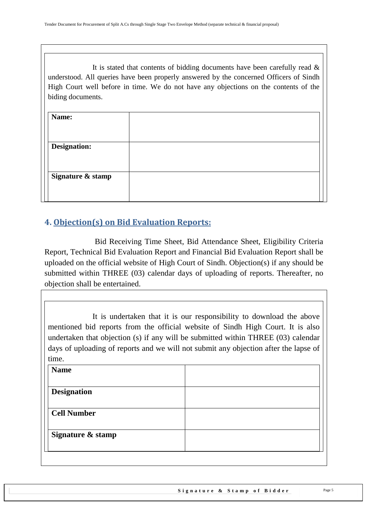It is stated that contents of bidding documents have been carefully read  $\&$ understood. All queries have been properly answered by the concerned Officers of Sindh High Court well before in time. We do not have any objections on the contents of the biding documents.

| Name:               |  |
|---------------------|--|
|                     |  |
| <b>Designation:</b> |  |
|                     |  |
| Signature & stamp   |  |
|                     |  |
|                     |  |

## <span id="page-4-0"></span>**4. Objection(s) on Bid Evaluation Reports:**

 Bid Receiving Time Sheet, Bid Attendance Sheet, Eligibility Criteria Report, Technical Bid Evaluation Report and Financial Bid Evaluation Report shall be uploaded on the official website of High Court of Sindh. Objection(s) if any should be submitted within THREE (03) calendar days of uploading of reports. Thereafter, no objection shall be entertained.

It is undertaken that it is our responsibility to download the above mentioned bid reports from the official website of Sindh High Court. It is also undertaken that objection (s) if any will be submitted within THREE (03) calendar days of uploading of reports and we will not submit any objection after the lapse of time.

| <b>Name</b>        |  |
|--------------------|--|
| <b>Designation</b> |  |
| <b>Cell Number</b> |  |
|                    |  |
| Signature & stamp  |  |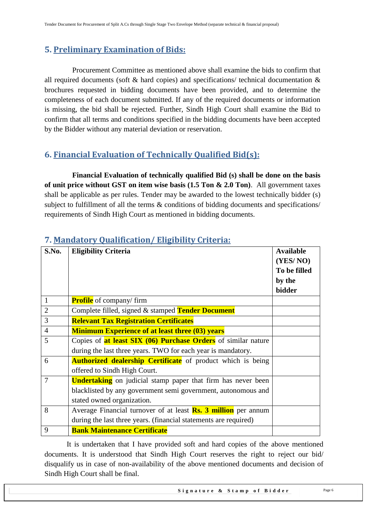## <span id="page-5-0"></span>**5. Preliminary Examination of Bids:**

 Procurement Committee as mentioned above shall examine the bids to confirm that all required documents (soft & hard copies) and specifications/ technical documentation & brochures requested in bidding documents have been provided, and to determine the completeness of each document submitted. If any of the required documents or information is missing, the bid shall be rejected. Further, Sindh High Court shall examine the Bid to confirm that all terms and conditions specified in the bidding documents have been accepted by the Bidder without any material deviation or reservation.

## <span id="page-5-1"></span>**6. Financial Evaluation of Technically Qualified Bid(s):**

 **Financial Evaluation of technically qualified Bid (s) shall be done on the basis of unit price without GST on item wise basis (1.5 Ton & 2.0 Ton)**. All government taxes shall be applicable as per rules. Tender may be awarded to the lowest technically bidder (s) subject to fulfillment of all the terms & conditions of bidding documents and specifications/ requirements of Sindh High Court as mentioned in bidding documents.

| S.No.          | <b>Eligibility Criteria</b>                                           | <b>Available</b> |
|----------------|-----------------------------------------------------------------------|------------------|
|                |                                                                       | (YES/NO)         |
|                |                                                                       | To be filled     |
|                |                                                                       | by the           |
|                |                                                                       | bidder           |
| 1              | <b>Profile</b> of company/firm                                        |                  |
| $\overline{2}$ | Complete filled, signed & stamped Tender Document                     |                  |
| 3              | <b>Relevant Tax Registration Certificates</b>                         |                  |
| $\overline{4}$ | <b>Minimum Experience of at least three (03) years</b>                |                  |
| 5              | Copies of <b>at least SIX (06) Purchase Orders</b> of similar nature  |                  |
|                | during the last three years. TWO for each year is mandatory.          |                  |
| 6              | <b>Authorized dealership Certificate</b> of product which is being    |                  |
|                | offered to Sindh High Court.                                          |                  |
| 7              | <b>Undertaking</b> on judicial stamp paper that firm has never been   |                  |
|                | blacklisted by any government semi government, autonomous and         |                  |
|                | stated owned organization.                                            |                  |
| 8              | Average Financial turnover of at least <b>Rs. 3 million</b> per annum |                  |
|                | during the last three years. (financial statements are required)      |                  |
| 9              | <b>Bank Maintenance Certificate</b>                                   |                  |

## <span id="page-5-2"></span>**7. Mandatory Qualification/ Eligibility Criteria:**

It is undertaken that I have provided soft and hard copies of the above mentioned documents. It is understood that Sindh High Court reserves the right to reject our bid/ disqualify us in case of non-availability of the above mentioned documents and decision of Sindh High Court shall be final.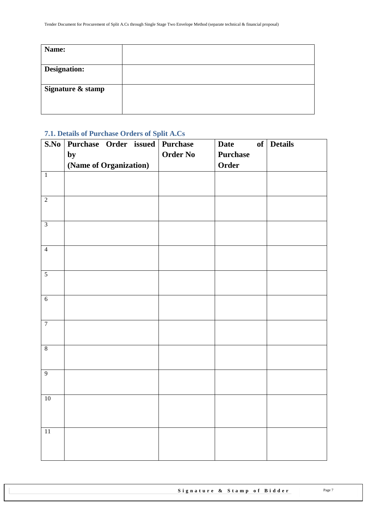| Name:               |  |
|---------------------|--|
|                     |  |
| <b>Designation:</b> |  |
|                     |  |
| Signature & stamp   |  |
|                     |  |
|                     |  |

#### <span id="page-6-0"></span>**7.1. Details of Purchase Orders of Split A.Cs**

| S.No           | Purchase Order issued Purchase |                 | <b>Date</b>     | of Details |
|----------------|--------------------------------|-----------------|-----------------|------------|
|                | by                             | <b>Order No</b> | <b>Purchase</b> |            |
|                | (Name of Organization)         |                 | Order           |            |
| $\overline{1}$ |                                |                 |                 |            |
|                |                                |                 |                 |            |
| $\overline{2}$ |                                |                 |                 |            |
|                |                                |                 |                 |            |
| $\overline{3}$ |                                |                 |                 |            |
|                |                                |                 |                 |            |
| $\overline{4}$ |                                |                 |                 |            |
|                |                                |                 |                 |            |
| $\overline{5}$ |                                |                 |                 |            |
|                |                                |                 |                 |            |
| $\overline{6}$ |                                |                 |                 |            |
|                |                                |                 |                 |            |
| $\overline{7}$ |                                |                 |                 |            |
|                |                                |                 |                 |            |
| $\overline{8}$ |                                |                 |                 |            |
|                |                                |                 |                 |            |
| 9              |                                |                 |                 |            |
|                |                                |                 |                 |            |
| 10             |                                |                 |                 |            |
|                |                                |                 |                 |            |
|                |                                |                 |                 |            |
| $11\,$         |                                |                 |                 |            |
|                |                                |                 |                 |            |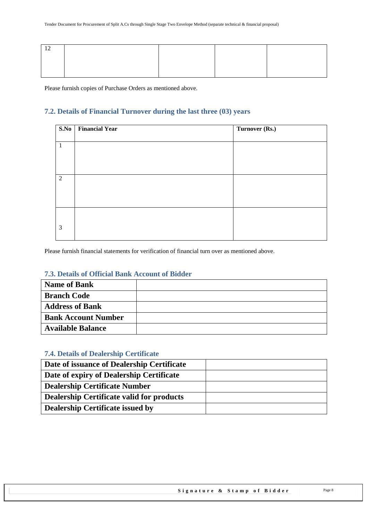<span id="page-7-0"></span>Please furnish copies of Purchase Orders as mentioned above.

#### **7.2. Details of Financial Turnover during the last three (03) years**

|              | S.No Financial Year | Turnover (Rs.) |
|--------------|---------------------|----------------|
|              |                     |                |
| $\mathbf{1}$ |                     |                |
|              |                     |                |
|              |                     |                |
| 2            |                     |                |
|              |                     |                |
|              |                     |                |
|              |                     |                |
|              |                     |                |
|              |                     |                |
| 3            |                     |                |
|              |                     |                |

<span id="page-7-1"></span>Please furnish financial statements for verification of financial turn over as mentioned above.

#### **7.3. Details of Official Bank Account of Bidder**

| <b>Name of Bank</b>        |  |
|----------------------------|--|
| <b>Branch Code</b>         |  |
| <b>Address of Bank</b>     |  |
| <b>Bank Account Number</b> |  |
| <b>Available Balance</b>   |  |

#### <span id="page-7-2"></span>**7.4. Details of Dealership Certificate**

| Date of issuance of Dealership Certificate       |  |
|--------------------------------------------------|--|
| Date of expiry of Dealership Certificate         |  |
| <b>Dealership Certificate Number</b>             |  |
| <b>Dealership Certificate valid for products</b> |  |
| <b>Dealership Certificate issued by</b>          |  |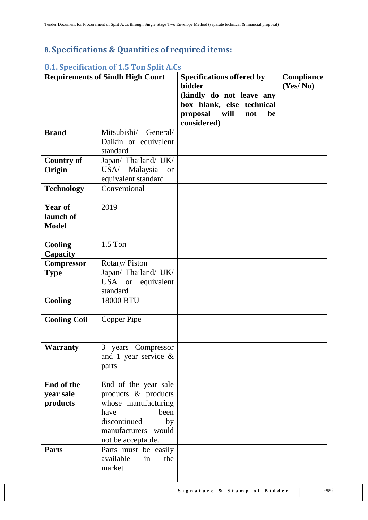## <span id="page-8-0"></span>**8. Specifications & Quantities of required items:**

| <b>Requirements of Sindh High Court</b>     |                                                                                                                                                       | <b>Specifications offered by</b><br>bidder<br>(kindly do not leave any<br>box blank, else technical<br>proposal will<br>not<br>be<br>considered) | Compliance<br>(Yes/No) |
|---------------------------------------------|-------------------------------------------------------------------------------------------------------------------------------------------------------|--------------------------------------------------------------------------------------------------------------------------------------------------|------------------------|
| <b>Brand</b>                                | Mitsubishi/<br>General/<br>Daikin or equivalent<br>standard                                                                                           |                                                                                                                                                  |                        |
| <b>Country of</b><br>Origin                 | Japan/ Thailand/ UK/<br>USA/ Malaysia<br><b>or</b><br>equivalent standard                                                                             |                                                                                                                                                  |                        |
| <b>Technology</b>                           | Conventional                                                                                                                                          |                                                                                                                                                  |                        |
| <b>Year of</b><br>launch of<br><b>Model</b> | 2019                                                                                                                                                  |                                                                                                                                                  |                        |
| <b>Cooling</b><br>Capacity                  | $1.5$ Ton                                                                                                                                             |                                                                                                                                                  |                        |
| <b>Compressor</b><br><b>Type</b>            | Rotary/Piston<br>Japan/ Thailand/ UK/<br>USA or equivalent<br>standard                                                                                |                                                                                                                                                  |                        |
| Cooling                                     | 18000 BTU                                                                                                                                             |                                                                                                                                                  |                        |
| <b>Cooling Coil</b>                         | Copper Pipe                                                                                                                                           |                                                                                                                                                  |                        |
| Warranty                                    | 3 years Compressor<br>and 1 year service $\&$<br>parts                                                                                                |                                                                                                                                                  |                        |
| End of the<br>year sale<br>products         | End of the year sale<br>products & products<br>whose manufacturing<br>been<br>have<br>discontinued<br>by<br>manufacturers would<br>not be acceptable. |                                                                                                                                                  |                        |
| <b>Parts</b>                                | Parts must be easily<br>available<br>in<br>the<br>market                                                                                              |                                                                                                                                                  |                        |

#### <span id="page-8-1"></span>**8.1. Specification of 1.5 Ton Split A.Cs**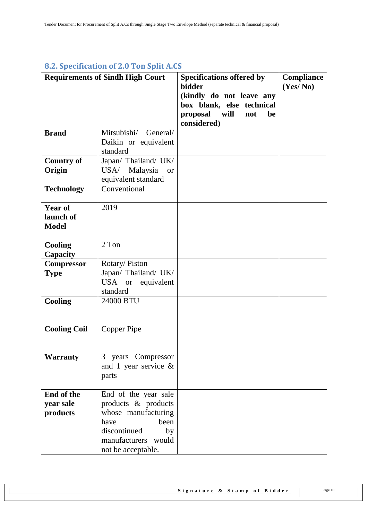## <span id="page-9-0"></span>**8.2. Specification of 2.0 Ton Split A.CS**

|                                             | <b>Requirements of Sindh High Court</b>                                                                                                               | <b>Specifications offered by</b><br><b>bidder</b><br>(kindly do not leave any<br>box blank, else technical<br>proposal will<br>not<br>be | <b>Compliance</b><br>(Yes/No) |
|---------------------------------------------|-------------------------------------------------------------------------------------------------------------------------------------------------------|------------------------------------------------------------------------------------------------------------------------------------------|-------------------------------|
|                                             |                                                                                                                                                       | considered)                                                                                                                              |                               |
| <b>Brand</b>                                | Mitsubishi/<br>General/<br>Daikin or equivalent                                                                                                       |                                                                                                                                          |                               |
|                                             | standard                                                                                                                                              |                                                                                                                                          |                               |
| <b>Country of</b><br>Origin                 | Japan/ Thailand/ UK/<br>USA/ Malaysia<br><b>or</b><br>equivalent standard                                                                             |                                                                                                                                          |                               |
| <b>Technology</b>                           | Conventional                                                                                                                                          |                                                                                                                                          |                               |
| <b>Year of</b><br>launch of<br><b>Model</b> | 2019                                                                                                                                                  |                                                                                                                                          |                               |
| <b>Cooling</b><br>Capacity                  | 2 Ton                                                                                                                                                 |                                                                                                                                          |                               |
| <b>Compressor</b><br><b>Type</b>            | Rotary/Piston<br>Japan/ Thailand/ UK/<br>USA or equivalent<br>standard                                                                                |                                                                                                                                          |                               |
| <b>Cooling</b>                              | 24000 BTU                                                                                                                                             |                                                                                                                                          |                               |
| <b>Cooling Coil</b>                         | Copper Pipe                                                                                                                                           |                                                                                                                                          |                               |
| <b>Warranty</b>                             | 3 years Compressor<br>and 1 year service $\&$<br>parts                                                                                                |                                                                                                                                          |                               |
| End of the<br>vear sale<br>products         | End of the year sale<br>products & products<br>whose manufacturing<br>been<br>have<br>discontinued<br>by<br>manufacturers would<br>not be acceptable. |                                                                                                                                          |                               |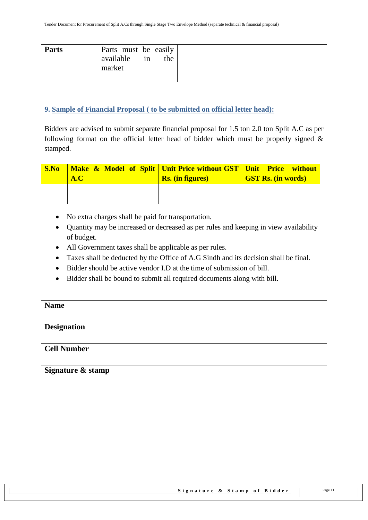#### <span id="page-10-0"></span>**9. Sample of Financial Proposal ( to be submitted on official letter head):**

Bidders are advised to submit separate financial proposal for 1.5 ton 2.0 ton Split A.C as per following format on the official letter head of bidder which must be properly signed  $\&$ stamped.

| $\mathbf{S}.\mathbf{No}$ | <b>Nake &amp; Model of Split   Unit Price without GST   Unit Price without</b><br>A.C | <b>Rs.</b> (in figures) | <b>GST Rs. (in words)</b> |
|--------------------------|---------------------------------------------------------------------------------------|-------------------------|---------------------------|
|                          |                                                                                       |                         |                           |

- No extra charges shall be paid for transportation.
- Quantity may be increased or decreased as per rules and keeping in view availability of budget.
- All Government taxes shall be applicable as per rules.
- Taxes shall be deducted by the Office of A.G Sindh and its decision shall be final.
- Bidder should be active vendor I.D at the time of submission of bill.
- Bidder shall be bound to submit all required documents along with bill.

| <b>Name</b>        |  |
|--------------------|--|
| <b>Designation</b> |  |
| <b>Cell Number</b> |  |
| Signature & stamp  |  |
|                    |  |
|                    |  |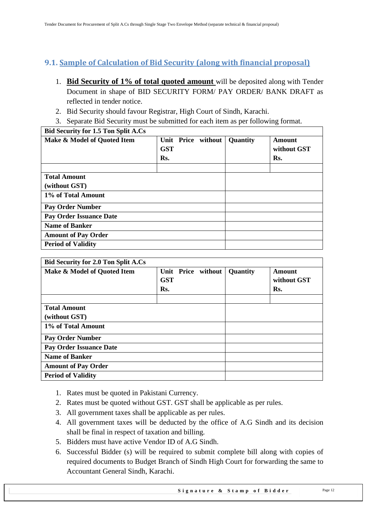## <span id="page-11-0"></span>**9.1. Sample of Calculation of Bid Security (along with financial proposal)**

- 1. **Bid Security of 1% of total quoted amount** will be deposited along with Tender Document in shape of BID SECURITY FORM/ PAY ORDER/ BANK DRAFT as reflected in tender notice.
- 2. Bid Security should favour Registrar, High Court of Sindh, Karachi.
- 3. Separate Bid Security must be submitted for each item as per following format.

| <b>Bid Security for 1.5 Ton Split A.Cs</b> |                    |          |             |
|--------------------------------------------|--------------------|----------|-------------|
| Make & Model of Quoted Item                | Unit Price without | Quantity | Amount      |
|                                            | <b>GST</b>         |          | without GST |
|                                            | Rs.                |          | Rs.         |
|                                            |                    |          |             |
| <b>Total Amount</b>                        |                    |          |             |
| (without GST)                              |                    |          |             |
| 1% of Total Amount                         |                    |          |             |
| <b>Pay Order Number</b>                    |                    |          |             |
| <b>Pay Order Issuance Date</b>             |                    |          |             |
| <b>Name of Banker</b>                      |                    |          |             |
| <b>Amount of Pay Order</b>                 |                    |          |             |
| <b>Period of Validity</b>                  |                    |          |             |

| <b>Bid Security for 2.0 Ton Split A.Cs</b> |                    |          |             |
|--------------------------------------------|--------------------|----------|-------------|
| Make & Model of Quoted Item                | Unit Price without | Quantity | Amount      |
|                                            | <b>GST</b>         |          | without GST |
|                                            | Rs.                |          | Rs.         |
|                                            |                    |          |             |
| <b>Total Amount</b>                        |                    |          |             |
| (without GST)                              |                    |          |             |
| 1% of Total Amount                         |                    |          |             |
| <b>Pay Order Number</b>                    |                    |          |             |
| <b>Pay Order Issuance Date</b>             |                    |          |             |
| <b>Name of Banker</b>                      |                    |          |             |
| <b>Amount of Pay Order</b>                 |                    |          |             |
| <b>Period of Validity</b>                  |                    |          |             |

- 1. Rates must be quoted in Pakistani Currency.
- 2. Rates must be quoted without GST. GST shall be applicable as per rules.
- 3. All government taxes shall be applicable as per rules.
- 4. All government taxes will be deducted by the office of A.G Sindh and its decision shall be final in respect of taxation and billing.
- 5. Bidders must have active Vendor ID of A.G Sindh.
- 6. Successful Bidder (s) will be required to submit complete bill along with copies of required documents to Budget Branch of Sindh High Court for forwarding the same to Accountant General Sindh, Karachi.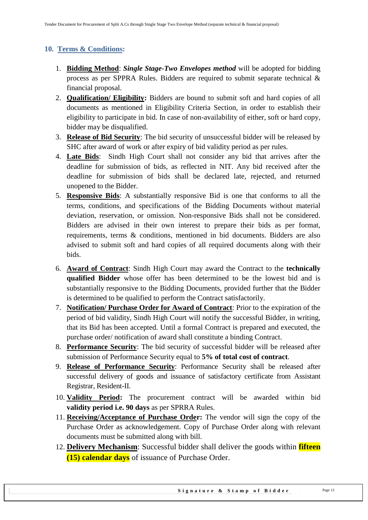#### <span id="page-12-0"></span>**10. Terms & Conditions:**

- 1. **Bidding Method**: *Single Stage-Two Envelopes method* will be adopted for bidding process as per SPPRA Rules. Bidders are required to submit separate technical & financial proposal.
- 2. **Qualification/ Eligibility:** Bidders are bound to submit soft and hard copies of all documents as mentioned in Eligibility Criteria Section, in order to establish their eligibility to participate in bid. In case of non-availability of either, soft or hard copy, bidder may be disqualified.
- 3. **Release of Bid Security**: The bid security of unsuccessful bidder will be released by SHC after award of work or after expiry of bid validity period as per rules.
- 4. **Late Bids**: Sindh High Court shall not consider any bid that arrives after the deadline for submission of bids, as reflected in NIT. Any bid received after the deadline for submission of bids shall be declared late, rejected, and returned unopened to the Bidder.
- 5. **Responsive Bids**: A substantially responsive Bid is one that conforms to all the terms, conditions, and specifications of the Bidding Documents without material deviation, reservation, or omission. Non-responsive Bids shall not be considered. Bidders are advised in their own interest to prepare their bids as per format, requirements, terms & conditions, mentioned in bid documents. Bidders are also advised to submit soft and hard copies of all required documents along with their bids.
- 6. **Award of Contract**: Sindh High Court may award the Contract to the **technically qualified Bidder** whose offer has been determined to be the lowest bid and is substantially responsive to the Bidding Documents, provided further that the Bidder is determined to be qualified to perform the Contract satisfactorily.
- 7. **Notification/ Purchase Order for Award of Contract**: Prior to the expiration of the period of bid validity, Sindh High Court will notify the successful Bidder, in writing, that its Bid has been accepted. Until a formal Contract is prepared and executed, the purchase order/ notification of award shall constitute a binding Contract.
- 8. **Performance Security**: The bid security of successful bidder will be released after submission of Performance Security equal to **5% of total cost of contract**.
- 9. **Release of Performance Security**: Performance Security shall be released after successful delivery of goods and issuance of satisfactory certificate from Assistant Registrar, Resident-II.
- 10. **Validity Period:** The procurement contract will be awarded within bid **validity period i.e. 90 days** as per SPRRA Rules.
- 11. **Receiving/Acceptance of Purchase Order:** The vendor will sign the copy of the Purchase Order as acknowledgement. Copy of Purchase Order along with relevant documents must be submitted along with bill.
- 12. **Delivery Mechanism**: Successful bidder shall deliver the goods within **fifteen (15) calendar days** of issuance of Purchase Order.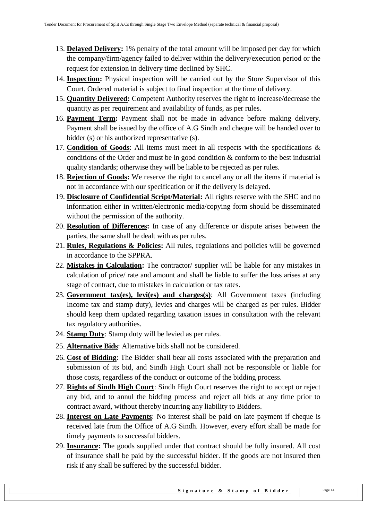- 13. **Delayed Delivery:** 1% penalty of the total amount will be imposed per day for which the company/firm/agency failed to deliver within the delivery/execution period or the request for extension in delivery time declined by SHC.
- 14. **Inspection:** Physical inspection will be carried out by the Store Supervisor of this Court. Ordered material is subject to final inspection at the time of delivery.
- 15. **Quantity Delivered:** Competent Authority reserves the right to increase/decrease the quantity as per requirement and availability of funds, as per rules.
- 16. **Payment Term:** Payment shall not be made in advance before making delivery. Payment shall be issued by the office of A.G Sindh and cheque will be handed over to bidder (s) or his authorized representative (s).
- 17. **Condition of Goods**: All items must meet in all respects with the specifications & conditions of the Order and must be in good condition & conform to the best industrial quality standards; otherwise they will be liable to be rejected as per rules.
- 18. **Rejection of Goods:** We reserve the right to cancel any or all the items if material is not in accordance with our specification or if the delivery is delayed.
- 19. **Disclosure of Confidential Script/Material:** All rights reserve with the SHC and no information either in written/electronic media/copying form should be disseminated without the permission of the authority.
- 20. **Resolution of Differences:** In case of any difference or dispute arises between the parties, the same shall be dealt with as per rules.
- 21. **Rules, Regulations & Policies:** All rules, regulations and policies will be governed in accordance to the SPPRA.
- 22. **Mistakes in Calculation:** The contractor/ supplier will be liable for any mistakes in calculation of price/ rate and amount and shall be liable to suffer the loss arises at any stage of contract, due to mistakes in calculation or tax rates.
- 23. **Government tax(es), levi(es) and charges(s)**: All Government taxes (including Income tax and stamp duty), levies and charges will be charged as per rules. Bidder should keep them updated regarding taxation issues in consultation with the relevant tax regulatory authorities.
- 24. **Stamp Duty**: Stamp duty will be levied as per rules.
- 25. **Alternative Bids**: Alternative bids shall not be considered.
- 26. **Cost of Bidding**: The Bidder shall bear all costs associated with the preparation and submission of its bid, and Sindh High Court shall not be responsible or liable for those costs, regardless of the conduct or outcome of the bidding process.
- 27. **Rights of Sindh High Court**: Sindh High Court reserves the right to accept or reject any bid, and to annul the bidding process and reject all bids at any time prior to contract award, without thereby incurring any liability to Bidders.
- 28. **Interest on Late Payments**: No interest shall be paid on late payment if cheque is received late from the Office of A.G Sindh. However, every effort shall be made for timely payments to successful bidders.
- 29. **Insurance:** The goods supplied under that contract should be fully insured. All cost of insurance shall be paid by the successful bidder. If the goods are not insured then risk if any shall be suffered by the successful bidder.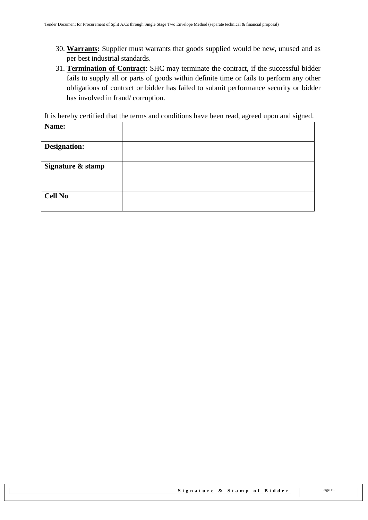- 30. **Warrants:** Supplier must warrants that goods supplied would be new, unused and as per best industrial standards.
- 31. **Termination of Contract**: SHC may terminate the contract, if the successful bidder fails to supply all or parts of goods within definite time or fails to perform any other obligations of contract or bidder has failed to submit performance security or bidder has involved in fraud/ corruption.

It is hereby certified that the terms and conditions have been read, agreed upon and signed.

| Name:               |  |
|---------------------|--|
| <b>Designation:</b> |  |
| Signature & stamp   |  |
| <b>Cell No</b>      |  |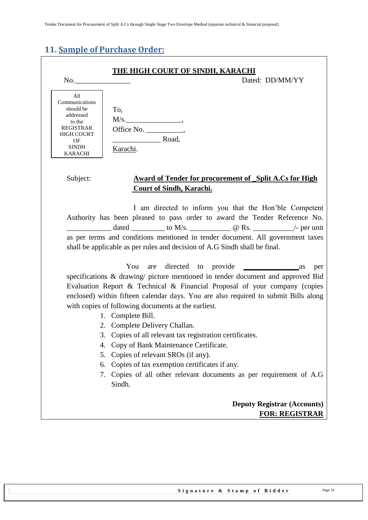## <span id="page-15-0"></span>**11. Sample of Purchase Order:**

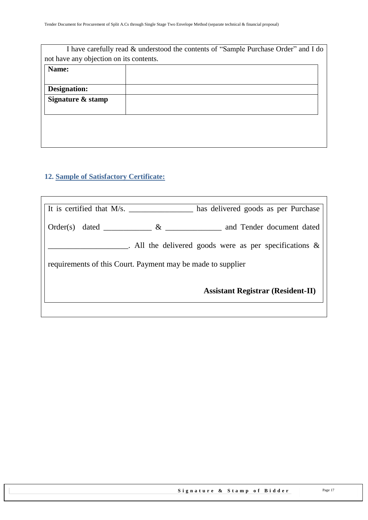| I have carefully read & understood the contents of "Sample Purchase Order" and I do |
|-------------------------------------------------------------------------------------|
| not have any objection on its contents.                                             |
|                                                                                     |
|                                                                                     |
|                                                                                     |
|                                                                                     |
|                                                                                     |
|                                                                                     |
|                                                                                     |
|                                                                                     |
|                                                                                     |

## <span id="page-16-0"></span>**12. Sample of Satisfactory Certificate:**

| It is certified that M/s.<br>has delivered goods as per Purchase      |  |
|-----------------------------------------------------------------------|--|
| and Tender document dated<br>$\&$<br>$Order(s)$ dated $\qquad \qquad$ |  |
| . All the delivered goods were as per specifications $\&$             |  |
| requirements of this Court. Payment may be made to supplier           |  |
| <b>Assistant Registrar (Resident-II)</b>                              |  |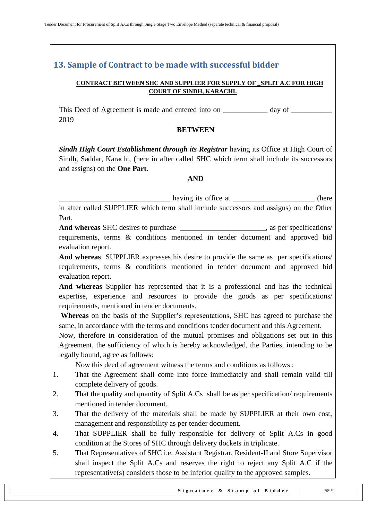## <span id="page-17-0"></span>**13. Sample of Contract to be made with successful bidder**

#### **CONTRACT BETWEEN SHC AND SUPPLIER FOR SUPPLY OF \_SPLIT A.C FOR HIGH COURT OF SINDH, KARACHI.**

This Deed of Agreement is made and entered into on \_\_\_\_\_\_\_\_\_\_\_\_ day of \_\_\_\_\_\_\_\_\_\_\_ 2019

#### **BETWEEN**

*Sindh High Court Establishment through its Registrar having its Office at High Court of* Sindh, Saddar, Karachi, (here in after called SHC which term shall include its successors and assigns) on the **One Part**.

#### **AND**

\_\_\_\_\_\_\_\_\_\_\_\_\_\_\_\_\_\_\_\_\_\_\_\_\_\_\_\_\_\_ having its office at \_\_\_\_\_\_\_\_\_\_\_\_\_\_\_\_\_\_\_\_\_\_ (here

in after called SUPPLIER which term shall include successors and assigns) on the Other Part.

**And whereas** SHC desires to purchase \_\_\_\_\_\_\_\_\_\_\_\_\_\_\_\_\_\_\_\_\_\_\_, as per specifications/ requirements, terms & conditions mentioned in tender document and approved bid evaluation report.

**And whereas** SUPPLIER expresses his desire to provide the same as per specifications/ requirements, terms & conditions mentioned in tender document and approved bid evaluation report.

**And whereas** Supplier has represented that it is a professional and has the technical expertise, experience and resources to provide the goods as per specifications/ requirements, mentioned in tender documents.

**Whereas** on the basis of the Supplier"s representations, SHC has agreed to purchase the same, in accordance with the terms and conditions tender document and this Agreement.

Now, therefore in consideration of the mutual promises and obligations set out in this Agreement, the sufficiency of which is hereby acknowledged, the Parties, intending to be legally bound, agree as follows:

Now this deed of agreement witness the terms and conditions as follows :

- 1. That the Agreement shall come into force immediately and shall remain valid till complete delivery of goods.
- 2. That the quality and quantity of Split A.Cs shall be as per specification/ requirements mentioned in tender document.
- 3. That the delivery of the materials shall be made by SUPPLIER at their own cost, management and responsibility as per tender document.
- 4. That SUPPLIER shall be fully responsible for delivery of Split A.Cs in good condition at the Stores of SHC through delivery dockets in triplicate.
- 5. That Representatives of SHC i.e. Assistant Registrar, Resident-II and Store Supervisor shall inspect the Split A.Cs and reserves the right to reject any Split A.C if the representative(s) considers those to be inferior quality to the approved samples.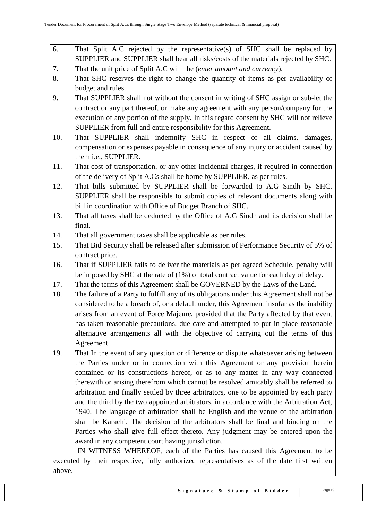- 6. That Split A.C rejected by the representative(s) of SHC shall be replaced by SUPPLIER and SUPPLIER shall bear all risks/costs of the materials rejected by SHC.
- 7. That the unit price of Split A.C will be (*enter amount and currency*).
- 8. That SHC reserves the right to change the quantity of items as per availability of budget and rules.
- 9. That SUPPLIER shall not without the consent in writing of SHC assign or sub-let the contract or any part thereof, or make any agreement with any person/company for the execution of any portion of the supply. In this regard consent by SHC will not relieve SUPPLIER from full and entire responsibility for this Agreement.
- 10. That SUPPLIER shall indemnify SHC in respect of all claims, damages, compensation or expenses payable in consequence of any injury or accident caused by them i.e., SUPPLIER.
- 11. That cost of transportation, or any other incidental charges, if required in connection of the delivery of Split A.Cs shall be borne by SUPPLIER, as per rules.
- 12. That bills submitted by SUPPLIER shall be forwarded to A.G Sindh by SHC. SUPPLIER shall be responsible to submit copies of relevant documents along with bill in coordination with Office of Budget Branch of SHC.
- 13. That all taxes shall be deducted by the Office of A.G Sindh and its decision shall be final.
- 14. That all government taxes shall be applicable as per rules.
- 15. That Bid Security shall be released after submission of Performance Security of 5% of contract price.
- 16. That if SUPPLIER fails to deliver the materials as per agreed Schedule, penalty will be imposed by SHC at the rate of (1%) of total contract value for each day of delay.
- 17. That the terms of this Agreement shall be GOVERNED by the Laws of the Land.
- 18. The failure of a Party to fulfill any of its obligations under this Agreement shall not be considered to be a breach of, or a default under, this Agreement insofar as the inability arises from an event of Force Majeure, provided that the Party affected by that event has taken reasonable precautions, due care and attempted to put in place reasonable alternative arrangements all with the objective of carrying out the terms of this Agreement.
- 19. That In the event of any question or difference or dispute whatsoever arising between the Parties under or in connection with this Agreement or any provision herein contained or its constructions hereof, or as to any matter in any way connected therewith or arising therefrom which cannot be resolved amicably shall be referred to arbitration and finally settled by three arbitrators, one to be appointed by each party and the third by the two appointed arbitrators, in accordance with the Arbitration Act, 1940. The language of arbitration shall be English and the venue of the arbitration shall be Karachi. The decision of the arbitrators shall be final and binding on the Parties who shall give full effect thereto. Any judgment may be entered upon the award in any competent court having jurisdiction.

 IN WITNESS WHEREOF, each of the Parties has caused this Agreement to be executed by their respective, fully authorized representatives as of the date first written above.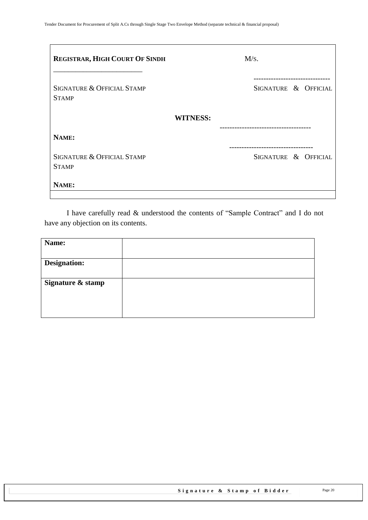| <b>REGISTRAR, HIGH COURT OF SINDH</b>      | M/s.            |                                               |  |
|--------------------------------------------|-----------------|-----------------------------------------------|--|
| SIGNATURE & OFFICIAL STAMP<br><b>STAMP</b> |                 | SIGNATURE & OFFICIAL                          |  |
|                                            | <b>WITNESS:</b> |                                               |  |
| NAME:                                      |                 |                                               |  |
| SIGNATURE & OFFICIAL STAMP<br><b>STAMP</b> |                 | ---------------------<br>SIGNATURE & OFFICIAL |  |
| NAME:                                      |                 |                                               |  |

I have carefully read & understood the contents of "Sample Contract" and I do not have any objection on its contents.

| Name:               |  |
|---------------------|--|
|                     |  |
| <b>Designation:</b> |  |
|                     |  |
| Signature & stamp   |  |
|                     |  |
|                     |  |
|                     |  |